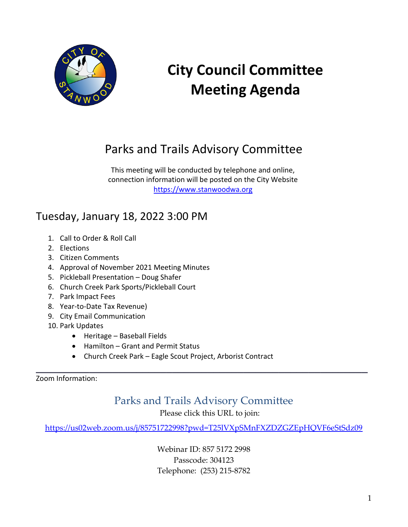

# **City Council Committee Meeting Agenda**

# Parks and Trails Advisory Committee

This meeting will be conducted by telephone and online, connection information will be posted on the City Website [https://www.stanwoodwa.org](https://www.stanwoodwa.org/)

# Tuesday, January 18, 2022 3:00 PM

- 1. Call to Order & Roll Call
- 2. Elections
- 3. Citizen Comments
- 4. Approval of November 2021 Meeting Minutes
- 5. Pickleball Presentation Doug Shafer
- 6. Church Creek Park Sports/Pickleball Court
- 7. Park Impact Fees
- 8. Year-to-Date Tax Revenue)
- 9. City Email Communication
- 10. Park Updates
	- Heritage Baseball Fields
	- Hamilton Grant and Permit Status
	- Church Creek Park Eagle Scout Project, Arborist Contract

Zoom Information:

Parks and Trails Advisory Committee

**\_\_\_\_\_\_\_\_\_\_\_\_\_\_\_\_\_\_\_\_\_\_\_\_\_\_\_\_\_\_\_\_\_\_\_\_\_\_\_\_\_\_\_\_\_\_\_\_\_\_\_\_\_\_\_\_**

Please click this URL to join:

<https://us02web.zoom.us/j/85751722998?pwd=T25lVXpSMnFXZDZGZEpHQVF6eStSdz09>

Webinar ID: 857 5172 2998 Passcode: 304123 Telephone: (253) 215-8782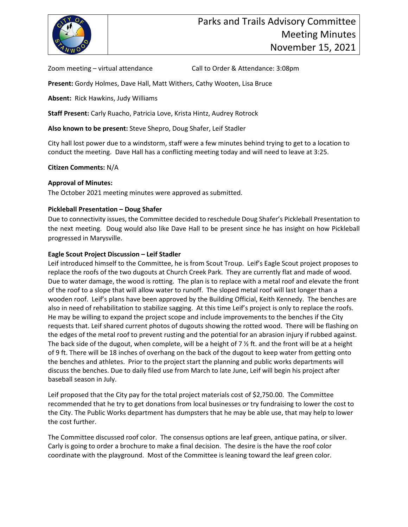

Zoom meeting – virtual attendance Call to Order & Attendance: 3:08pm

**Present:** Gordy Holmes, Dave Hall, Matt Withers, Cathy Wooten, Lisa Bruce

**Absent:** Rick Hawkins, Judy Williams

**Staff Present:** Carly Ruacho, Patricia Love, Krista Hintz, Audrey Rotrock

**Also known to be present:** Steve Shepro, Doug Shafer, Leif Stadler

City hall lost power due to a windstorm, staff were a few minutes behind trying to get to a location to conduct the meeting. Dave Hall has a conflicting meeting today and will need to leave at 3:25.

#### **Citizen Comments:** N/A

#### **Approval of Minutes:**

The October 2021 meeting minutes were approved as submitted.

#### **Pickleball Presentation – Doug Shafer**

Due to connectivity issues, the Committee decided to reschedule Doug Shafer's Pickleball Presentation to the next meeting. Doug would also like Dave Hall to be present since he has insight on how Pickleball progressed in Marysville.

#### **Eagle Scout Project Discussion – Leif Stadler**

Leif introduced himself to the Committee, he is from Scout Troup. Leif's Eagle Scout project proposes to replace the roofs of the two dugouts at Church Creek Park. They are currently flat and made of wood. Due to water damage, the wood is rotting. The plan is to replace with a metal roof and elevate the front of the roof to a slope that will allow water to runoff. The sloped metal roof will last longer than a wooden roof. Leif's plans have been approved by the Building Official, Keith Kennedy. The benches are also in need of rehabilitation to stabilize sagging. At this time Leif's project is only to replace the roofs. He may be willing to expand the project scope and include improvements to the benches if the City requests that. Leif shared current photos of dugouts showing the rotted wood. There will be flashing on the edges of the metal roof to prevent rusting and the potential for an abrasion injury if rubbed against. The back side of the dugout, when complete, will be a height of 7  $\frac{1}{2}$  ft. and the front will be at a height of 9 ft. There will be 18 inches of overhang on the back of the dugout to keep water from getting onto the benches and athletes. Prior to the project start the planning and public works departments will discuss the benches. Due to daily filed use from March to late June, Leif will begin his project after baseball season in July.

Leif proposed that the City pay for the total project materials cost of \$2,750.00. The Committee recommended that he try to get donations from local businesses or try fundraising to lower the cost to the City. The Public Works department has dumpsters that he may be able use, that may help to lower the cost further.

The Committee discussed roof color. The consensus options are leaf green, antique patina, or silver. Carly is going to order a brochure to make a final decision. The desire is the have the roof color coordinate with the playground. Most of the Committee is leaning toward the leaf green color.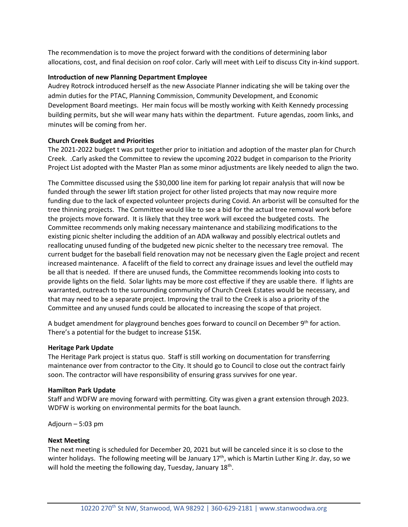The recommendation is to move the project forward with the conditions of determining labor allocations, cost, and final decision on roof color. Carly will meet with Leif to discuss City in-kind support.

#### **Introduction of new Planning Department Employee**

Audrey Rotrock introduced herself as the new Associate Planner indicating she will be taking over the admin duties for the PTAC, Planning Commission, Community Development, and Economic Development Board meetings. Her main focus will be mostly working with Keith Kennedy processing building permits, but she will wear many hats within the department. Future agendas, zoom links, and minutes will be coming from her.

# **Church Creek Budget and Priorities**

The 2021-2022 budget t was put together prior to initiation and adoption of the master plan for Church Creek. .Carly asked the Committee to review the upcoming 2022 budget in comparison to the Priority Project List adopted with the Master Plan as some minor adjustments are likely needed to align the two.

The Committee discussed using the \$30,000 line item for parking lot repair analysis that will now be funded through the sewer lift station project for other listed projects that may now require more funding due to the lack of expected volunteer projects during Covid. An arborist will be consulted for the tree thinning projects. The Committee would like to see a bid for the actual tree removal work before the projects move forward. It is likely that they tree work will exceed the budgeted costs. The Committee recommends only making necessary maintenance and stabilizing modifications to the existing picnic shelter including the addition of an ADA walkway and possibly electrical outlets and reallocating unused funding of the budgeted new picnic shelter to the necessary tree removal. The current budget for the baseball field renovation may not be necessary given the Eagle project and recent increased maintenance. A facelift of the field to correct any drainage issues and level the outfield may be all that is needed. If there are unused funds, the Committee recommends looking into costs to provide lights on the field. Solar lights may be more cost effective if they are usable there. If lights are warranted, outreach to the surrounding community of Church Creek Estates would be necessary, and that may need to be a separate project. Improving the trail to the Creek is also a priority of the Committee and any unused funds could be allocated to increasing the scope of that project.

A budget amendment for playground benches goes forward to council on December  $9<sup>th</sup>$  for action. There's a potential for the budget to increase \$15K.

#### **Heritage Park Update**

The Heritage Park project is status quo. Staff is still working on documentation for transferring maintenance over from contractor to the City. It should go to Council to close out the contract fairly soon. The contractor will have responsibility of ensuring grass survives for one year.

#### **Hamilton Park Update**

Staff and WDFW are moving forward with permitting. City was given a grant extension through 2023. WDFW is working on environmental permits for the boat launch.

Adjourn – 5:03 pm

#### **Next Meeting**

The next meeting is scheduled for December 20, 2021 but will be canceled since it is so close to the winter holidays. The following meeting will be January  $17<sup>th</sup>$ , which is Martin Luther King Jr. day, so we will hold the meeting the following day, Tuesday, January 18<sup>th</sup>.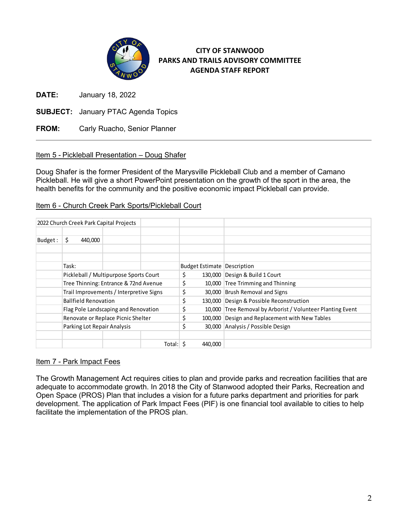

# **CITY OF STANWOOD PARKS AND TRAILS ADVISORY COMMITTEE AGENDA STAFF REPORT**

**DATE:** January 18, 2022

**SUBJECT:** January PTAC Agenda Topics

**FROM:** Carly Ruacho, Senior Planner

# Item 5 - Pickleball Presentation – Doug Shafer

Doug Shafer is the former President of the Marysville Pickleball Club and a member of Camano Pickleball. He will give a short PowerPoint presentation on the growth of the sport in the area, the health benefits for the community and the positive economic impact Pickleball can provide.

# Item 6 - Church Creek Park Sports/Pickleball Court

|         |                                        | 2022 Church Creek Park Capital Projects |          |    |         |                                                            |
|---------|----------------------------------------|-----------------------------------------|----------|----|---------|------------------------------------------------------------|
| Budget: | 440,000<br>\$.                         |                                         |          |    |         |                                                            |
|         | Task:                                  |                                         |          |    |         | <b>Budget Estimate Description</b>                         |
|         | Pickleball / Multipurpose Sports Court |                                         |          | \$ |         | 130,000 Design & Build 1 Court                             |
|         |                                        | Tree Thinning: Entrance & 72nd Avenue   |          |    |         | 10,000 Tree Trimming and Thinning                          |
|         |                                        | Trail Improvements / Interpretive Signs |          | \$ |         | 30,000 Brush Removal and Signs                             |
|         | <b>Ballfield Renovation</b>            |                                         |          | \$ |         | 130,000 Design & Possible Reconstruction                   |
|         |                                        | Flag Pole Landscaping and Renovation    |          | \$ |         | 10,000 Tree Removal by Arborist / Volunteer Planting Event |
|         |                                        | Renovate or Replace Picnic Shelter      |          | \$ |         | 100,000 Design and Replacement with New Tables             |
|         | Parking Lot Repair Analysis            |                                         |          | \$ |         | 30,000 Analysis / Possible Design                          |
|         |                                        |                                         | Total: S |    | 440,000 |                                                            |

# Item 7 - Park Impact Fees

The Growth Management Act requires cities to plan and provide parks and recreation facilities that are adequate to accommodate growth. In 2018 the City of Stanwood adopted their Parks, Recreation and Open Space (PROS) Plan that includes a vision for a future parks department and priorities for park development. The application of Park Impact Fees (PIF) is one financial tool available to cities to help facilitate the implementation of the PROS plan.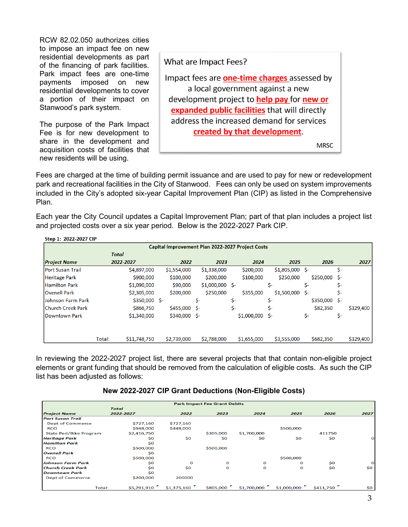RCW 82.02.050 authorizes cities to impose an impact fee on new residential developments as part of the financing of park facilities. Park impact fees are one-time payments imposed on new residential developments to cover a portion of their impact on Stanwood's park system.

The purpose of the Park Impact Fee is for new development to share in the development and acquisition costs of facilities that new residents will be using.

What are Impact Fees?

Impact fees are **one-time charges** assessed by a local government against a new development project to **help pay** for **new or** expanded public facilities that will directly address the increased demand for services created by that development.

**MRSC** 

Fees are charged at the time of building permit issuance and are used to pay for new or redevelopment park and recreational facilities in the City of Stanwood. Fees can only be used on system improvements included in the City's adopted six-year Capital Improvement Plan (CIP) as listed in the Comprehensive Plan.

Each year the City Council updates a Capital Improvement Plan; part of that plan includes a project list and projected costs over a six year period. Below is the 2022-2027 Park CIP.

| Step 1: 2022-2027 CIP                            |        |                |  |                |                  |     |             |                  |      |                |     |           |
|--------------------------------------------------|--------|----------------|--|----------------|------------------|-----|-------------|------------------|------|----------------|-----|-----------|
| Capital Improvement Plan 2022-2027 Project Costs |        |                |  |                |                  |     |             |                  |      |                |     |           |
|                                                  |        | <b>Total</b>   |  |                |                  |     |             |                  |      |                |     |           |
| Project Name                                     |        | 2022-2027      |  | 2022           | 2023             |     | 2024        | 2025             |      | 2026           |     | 2027      |
| lPort Susan Trail                                |        | \$4,897,000    |  | \$1,554,000    | \$1,338,000      |     | \$200,000   | $$1,805,000$ \$- |      |                | Ś-  |           |
| Heritage Park                                    |        | \$900,000      |  | \$100,000      | \$200,000        |     | \$100,000   | \$250,000        |      | $$250,000$ \$- |     |           |
| <b>Hamilton Park</b>                             |        | \$1,090,000    |  | \$90,000       | $$1,000,000$ \$- |     |             | \$-              | Ś-   |                | s-  |           |
| <b>Ovenell Park</b>                              |        | \$2,305,000    |  | \$200,000      | \$250,000        |     | \$355,000   | \$1,500,000      | - S- |                | S-  |           |
| lJohnson Farm Park                               |        | $$350,000$ \$- |  |                | \$-              | \$- |             | \$-              |      | $$350,000$ \$- |     |           |
| lChurch Creek Park                               |        | \$866,750      |  | $$455,000$ \$- |                  | \$- |             | \$-              |      | \$82,350       |     | \$329,400 |
| <b>IDowntown Park</b>                            |        | \$1,340,000    |  | $$340,000$ \$- |                  |     | \$1,000,000 | Ŝ-               | \$-  |                | \$- |           |
|                                                  |        |                |  |                |                  |     |             |                  |      |                |     |           |
|                                                  | Total: | \$11,748,750   |  | \$2,739,000    | \$2,788,000      |     | \$1,655,000 | \$3,555,000      |      | \$682,350      |     | \$329,400 |

In reviewing the 2022-2027 project list, there are several projects that that contain non-eligible project elements or grant funding that should be removed from the calculation of eligible costs. As such the CIP list has been adjusted as follows:

# **New 2022-2027 CIP Grant Deductions (Non-Eligible Costs)**

| <b>Park Impact Fee Grant Debits</b> |              |             |           |             |             |           |          |  |  |  |
|-------------------------------------|--------------|-------------|-----------|-------------|-------------|-----------|----------|--|--|--|
|                                     | <b>Total</b> |             |           |             |             |           |          |  |  |  |
| <b>Project Name</b>                 | 2022-2027    | 2022        | 2023      | 2024        | 2025        | 2026      | 2027     |  |  |  |
| <b>Port Susan Trail</b>             |              |             |           |             |             |           |          |  |  |  |
| <b>Dept of Commerce</b>             | \$727,160    | \$727,160   |           |             |             |           |          |  |  |  |
| <b>RCO</b>                          | \$948,000    | \$448,000   |           |             | \$500,000   |           |          |  |  |  |
| <b>State Ped/Bike Program</b>       | \$2,416,750  |             | \$305,000 | \$1,700,000 |             | 411750    |          |  |  |  |
| <b>Heritage Park</b>                | \$0          | \$0         | \$0       | \$0         | \$0         | \$0       | $\Omega$ |  |  |  |
| <b>Hamilton Park</b>                | \$0          |             |           |             |             |           |          |  |  |  |
| <b>RCO</b>                          | \$500,000    |             | \$500,000 |             |             |           |          |  |  |  |
| <b>Ovenell Park</b>                 | \$0          |             |           |             |             |           |          |  |  |  |
| <b>RCO</b>                          | \$500,000    |             |           |             | \$500,000   |           |          |  |  |  |
| <b>Johnson Farm Park</b>            | \$0          | $\Omega$    | $\Omega$  | $\Omega$    | $\Omega$    | \$0       |          |  |  |  |
| <b>Church Creek Park</b>            | \$O          | \$0         | $\Omega$  | $\Omega$    | $\Omega$    | \$0       | \$0      |  |  |  |
| <b>Downtown Park</b>                | \$0          |             |           |             |             |           |          |  |  |  |
| <b>Dept of Commerce</b>             | \$200,000    | 200000      |           |             |             |           |          |  |  |  |
| Total:                              | \$5,291,910  | \$1,375,160 | \$805,000 | \$1,700,000 | \$1,000,000 | \$411,750 | \$0      |  |  |  |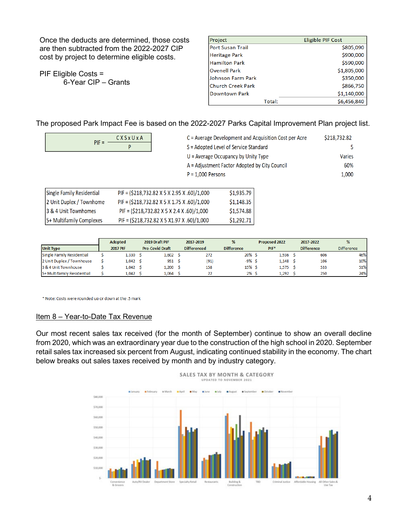Once the deducts are determined, those costs are then subtracted from the 2022-2027 CIP cost by project to determine eligible costs.

PIF Eligible Costs = 6-Year CIP – Grants

| Project              | <b>Eligible PIF Cost</b> |  |  |  |  |  |
|----------------------|--------------------------|--|--|--|--|--|
| lPort Susan Trail    | \$805,090                |  |  |  |  |  |
| <b>Heritage Park</b> | \$900,000                |  |  |  |  |  |
| lHamilton Park       | \$590,000                |  |  |  |  |  |
| lOvenell Park        | \$1,805,000              |  |  |  |  |  |
| Johnson Farm Park    | \$350,000                |  |  |  |  |  |
| lChurch Creek Park   | \$866,750                |  |  |  |  |  |
| Downtown Park        | \$1,140,000              |  |  |  |  |  |
| Total:               | \$6,456,840              |  |  |  |  |  |

The proposed Park Impact Fee is based on the 2022-2027 Parks Capital Improvement Plan project list.

| $PIF =$                   | CXSxUxA             | C = Average Development and Acquisition Cost per Acre | \$218,732.82                                  |  |        |  |
|---------------------------|---------------------|-------------------------------------------------------|-----------------------------------------------|--|--------|--|
|                           | P                   | S = Adopted Level of Service Standard                 |                                               |  |        |  |
|                           |                     |                                                       | $U =$ Average Occupancy by Unity Type         |  | Varies |  |
|                           |                     |                                                       | A = Adjustment Factor Adopted by City Council |  | 60%    |  |
|                           | $P = 1,000$ Persons |                                                       |                                               |  |        |  |
|                           |                     |                                                       |                                               |  |        |  |
| Single Family Residential |                     | PIF = (\$218,732.82 X 5 X 2.95 X .60)/1,000           | \$1,935.79                                    |  |        |  |
| 2 Unit Duplex / Townhome  |                     | PIF = (\$218,732.82 X 5 X 1.75 X .60)/1,000           | \$1,148.35                                    |  |        |  |
| 3 & 4 Unit Townhomes      |                     | PIF = (\$218,732.82 X 5 X 2.4 X .60)/1,000            | \$1,574.88                                    |  |        |  |
| 5+ Multifamily Complexes  |                     | PIF = (\$218,732.82 X 5 X1.97 X .60)/1,000            | \$1,292.71                                    |  |        |  |

|                            |                 | <b>Adopted</b> |                                              | 2019 Draft PIF | 2017-2019         |                  |  | Proposed 2022     | 2017-2022         | %   |
|----------------------------|-----------------|----------------|----------------------------------------------|----------------|-------------------|------------------|--|-------------------|-------------------|-----|
| <b>Unit Type</b>           | <b>2017 PIF</b> |                | <b>Differenced</b><br><b>Pre-Covid Draft</b> |                | <b>Difference</b> | PIF <sup>*</sup> |  | <b>Difference</b> | <b>Difference</b> |     |
| Single Family Residential  |                 | 1,330          |                                              | $1,602$ \$     | 272               | 20% \$           |  | 1,936             | 606               | 46% |
| 2 Unit Duplex / Townhouse  |                 | 1.042 S        |                                              | 951            | (91)              | $-9\%$ \$        |  | 1,148             | 106               | 10% |
| 3 & 4 Unit Townhouse       |                 | 1,042 S        |                                              | $1,200$ \$     | 158               | 15% \$           |  | 1,575             | 533               | 51% |
| 5+ Multifamily Residential |                 | 1.042          |                                              | 1.064          | 22                | $2\%$ \$         |  | 1.292             | 250               | 24% |

\* Note: Costs were rounded up or down at the .5 mark

#### Item 8 – Year-to-Date Tax Revenue

Our most recent sales tax received (for the month of September) continue to show an overall decline from 2020, which was an extraordinary year due to the construction of the high school in 2020. September retail sales tax increased six percent from August, indicating continued stability in the economy. The chart below breaks out sales taxes received by month and by industry category.